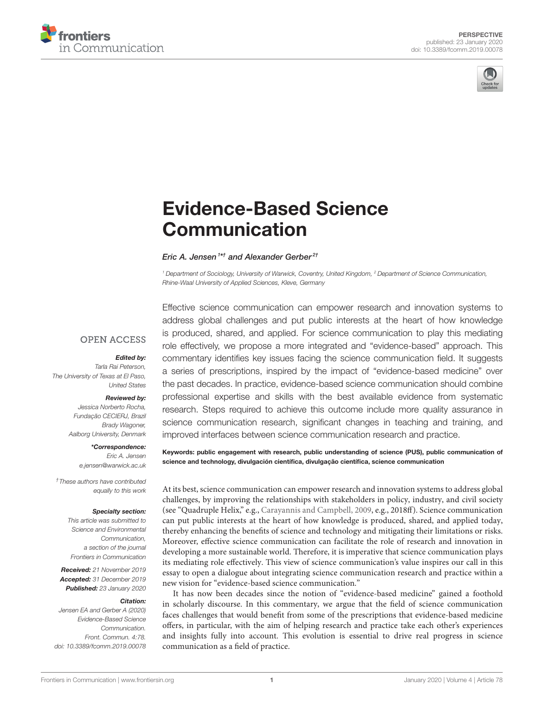



# [Evidence-Based Science](https://www.frontiersin.org/articles/10.3389/fcomm.2019.00078/full) Communication

[Eric A. Jensen](http://loop.frontiersin.org/people/852436/overview)<sup>1\*†</sup> and [Alexander Gerber](http://loop.frontiersin.org/people/833986/overview)<sup>2†</sup>

<sup>1</sup> Department of Sociology, University of Warwick, Coventry, United Kingdom, <sup>2</sup> Department of Science Communication, Rhine-Waal University of Applied Sciences, Kleve, Germany

### **OPEN ACCESS**

### Edited by:

Tarla Rai Peterson, The University of Texas at El Paso, United States

#### Reviewed by:

Jessica Norberto Rocha, Fundação CECIERJ, Brazil Brady Wagoner, Aalborg University, Denmark

> \*Correspondence: Eric A. Jensen [e.jensen@warwick.ac.uk](mailto:e.jensen@warwick.ac.uk)

†These authors have contributed equally to this work

### Specialty section:

This article was submitted to Science and Environmental Communication, a section of the journal Frontiers in Communication

Received: 21 November 2019 Accepted: 31 December 2019 Published: 23 January 2020

### Citation:

Jensen EA and Gerber A (2020) Evidence-Based Science Communication. Front. Commun. 4:78. doi: [10.3389/fcomm.2019.00078](https://doi.org/10.3389/fcomm.2019.00078) Effective science communication can empower research and innovation systems to address global challenges and put public interests at the heart of how knowledge is produced, shared, and applied. For science communication to play this mediating role effectively, we propose a more integrated and "evidence-based" approach. This commentary identifies key issues facing the science communication field. It suggests a series of prescriptions, inspired by the impact of "evidence-based medicine" over the past decades. In practice, evidence-based science communication should combine professional expertise and skills with the best available evidence from systematic research. Steps required to achieve this outcome include more quality assurance in science communication research, significant changes in teaching and training, and improved interfaces between science communication research and practice.

Keywords: public engagement with research, public understanding of science (PUS), public communication of science and technology, divulgación científica, divulgação científica, science communication

At its best, science communication can empower research and innovation systems to address global challenges, by improving the relationships with stakeholders in policy, industry, and civil society (see "Quadruple Helix," e.g., [Carayannis and Campbell, 2009,](#page-3-0) e.g., 2018ff). Science communication can put public interests at the heart of how knowledge is produced, shared, and applied today, thereby enhancing the benefits of science and technology and mitigating their limitations or risks. Moreover, effective science communication can facilitate the role of research and innovation in developing a more sustainable world. Therefore, it is imperative that science communication plays its mediating role effectively. This view of science communication's value inspires our call in this essay to open a dialogue about integrating science communication research and practice within a new vision for "evidence-based science communication."

It has now been decades since the notion of "evidence-based medicine" gained a foothold in scholarly discourse. In this commentary, we argue that the field of science communication faces challenges that would benefit from some of the prescriptions that evidence-based medicine offers, in particular, with the aim of helping research and practice take each other's experiences and insights fully into account. This evolution is essential to drive real progress in science communication as a field of practice.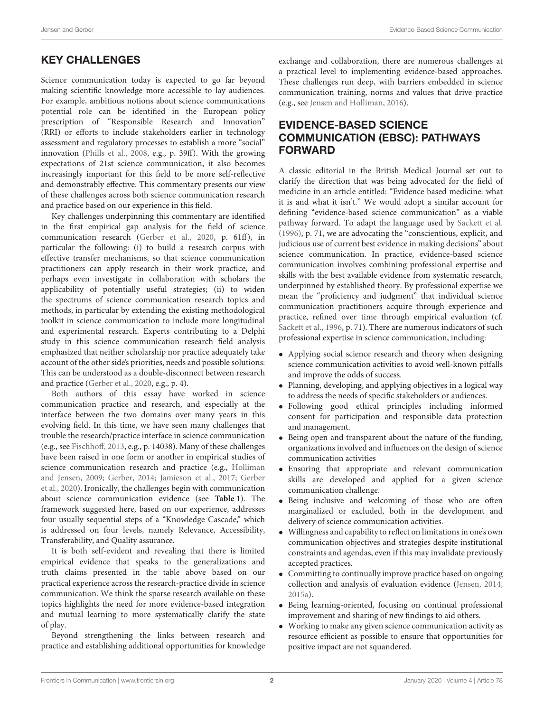# KEY CHALLENGES

Science communication today is expected to go far beyond making scientific knowledge more accessible to lay audiences. For example, ambitious notions about science communications potential role can be identified in the European policy prescription of "Responsible Research and Innovation" (RRI) or efforts to include stakeholders earlier in technology assessment and regulatory processes to establish a more "social" innovation [\(Phills et al., 2008,](#page-4-0) e.g., p. 39ff). With the growing expectations of 21st science communication, it also becomes increasingly important for this field to be more self-reflective and demonstrably effective. This commentary presents our view of these challenges across both science communication research and practice based on our experience in this field.

Key challenges underpinning this commentary are identified in the first empirical gap analysis for the field of science communication research [\(Gerber et al., 2020,](#page-3-1) p. 61ff), in particular the following: (i) to build a research corpus with effective transfer mechanisms, so that science communication practitioners can apply research in their work practice, and perhaps even investigate in collaboration with scholars the applicability of potentially useful strategies; (ii) to widen the spectrums of science communication research topics and methods, in particular by extending the existing methodological toolkit in science communication to include more longitudinal and experimental research. Experts contributing to a Delphi study in this science communication research field analysis emphasized that neither scholarship nor practice adequately take account of the other side's priorities, needs and possible solutions: This can be understood as a double-disconnect between research and practice [\(Gerber et al., 2020,](#page-3-1) e.g., p. 4).

Both authors of this essay have worked in science communication practice and research, and especially at the interface between the two domains over many years in this evolving field. In this time, we have seen many challenges that trouble the research/practice interface in science communication (e.g., see [Fischhoff, 2013,](#page-3-2) e.g., p. 14038). Many of these challenges have been raised in one form or another in empirical studies of science communication research and practice (e.g., Holliman and Jensen, [2009;](#page-3-3) [Gerber, 2014;](#page-3-4) [Jamieson et al., 2017;](#page-4-1) Gerber et al., [2020\)](#page-3-1). Ironically, the challenges begin with communication about science communication evidence (see **[Table 1](#page-2-0)**). The framework suggested here, based on our experience, addresses four usually sequential steps of a "Knowledge Cascade," which is addressed on four levels, namely Relevance, Accessibility, Transferability, and Quality assurance.

It is both self-evident and revealing that there is limited empirical evidence that speaks to the generalizations and truth claims presented in the table above based on our practical experience across the research-practice divide in science communication. We think the sparse research available on these topics highlights the need for more evidence-based integration and mutual learning to more systematically clarify the state of play.

Beyond strengthening the links between research and practice and establishing additional opportunities for knowledge exchange and collaboration, there are numerous challenges at a practical level to implementing evidence-based approaches. These challenges run deep, with barriers embedded in science communication training, norms and values that drive practice (e.g., see [Jensen and Holliman, 2016\)](#page-4-2).

# EVIDENCE-BASED SCIENCE COMMUNICATION (EBSC): PATHWAYS FORWARD

A classic editorial in the British Medical Journal set out to clarify the direction that was being advocated for the field of medicine in an article entitled: "Evidence based medicine: what it is and what it isn't." We would adopt a similar account for defining "evidence-based science communication" as a viable pathway forward. To adapt the language used by [Sackett et al.](#page-4-3) [\(1996\)](#page-4-3), p. 71, we are advocating the "conscientious, explicit, and judicious use of current best evidence in making decisions" about science communication. In practice, evidence-based science communication involves combining professional expertise and skills with the best available evidence from systematic research, underpinned by established theory. By professional expertise we mean the "proficiency and judgment" that individual science communication practitioners acquire through experience and practice, refined over time through empirical evaluation (cf. [Sackett et al., 1996,](#page-4-3) p. 71). There are numerous indicators of such professional expertise in science communication, including:

- Applying social science research and theory when designing science communication activities to avoid well-known pitfalls and improve the odds of success.
- Planning, developing, and applying objectives in a logical way to address the needs of specific stakeholders or audiences.
- Following good ethical principles including informed consent for participation and responsible data protection and management.
- Being open and transparent about the nature of the funding, organizations involved and influences on the design of science communication activities
- Ensuring that appropriate and relevant communication skills are developed and applied for a given science communication challenge.
- Being inclusive and welcoming of those who are often marginalized or excluded, both in the development and delivery of science communication activities.
- Willingness and capability to reflect on limitations in one's own communication objectives and strategies despite institutional constraints and agendas, even if this may invalidate previously accepted practices.
- Committing to continually improve practice based on ongoing collection and analysis of evaluation evidence [\(Jensen, 2014,](#page-4-4) [2015a\)](#page-4-5).
- Being learning-oriented, focusing on continual professional improvement and sharing of new findings to aid others.
- Working to make any given science communication activity as resource efficient as possible to ensure that opportunities for positive impact are not squandered.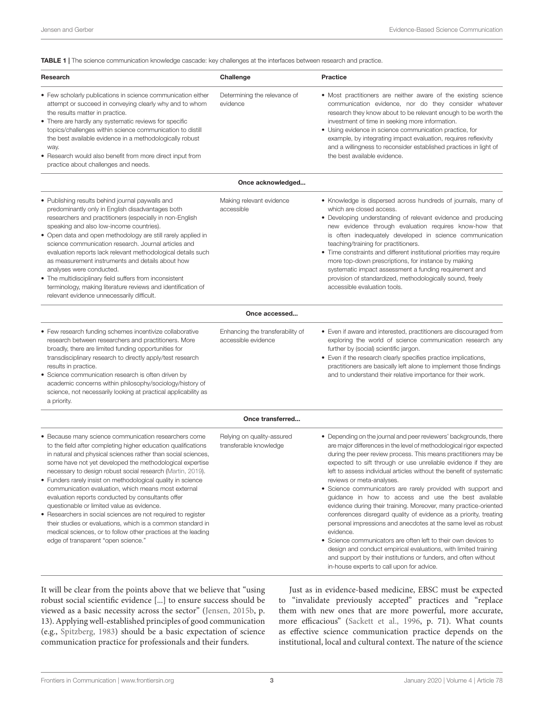<span id="page-2-0"></span>TABLE 1 | The science communication knowledge cascade: key challenges at the interfaces between research and practice.

| Research                                                                                                                                                                                                                                                                                                                                                                                                                                                   | Challenge                                | Practice                                                                                                                                                                                                                                                                                                                                                                                                                                                                        |
|------------------------------------------------------------------------------------------------------------------------------------------------------------------------------------------------------------------------------------------------------------------------------------------------------------------------------------------------------------------------------------------------------------------------------------------------------------|------------------------------------------|---------------------------------------------------------------------------------------------------------------------------------------------------------------------------------------------------------------------------------------------------------------------------------------------------------------------------------------------------------------------------------------------------------------------------------------------------------------------------------|
| • Few scholarly publications in science communication either<br>attempt or succeed in conveying clearly why and to whom<br>the results matter in practice.<br>• There are hardly any systematic reviews for specific<br>topics/challenges within science communication to distill<br>the best available evidence in a methodologically robust<br>way.<br>• Research would also benefit from more direct input from<br>practice about challenges and needs. | Determining the relevance of<br>evidence | • Most practitioners are neither aware of the existing science<br>communication evidence, nor do they consider whatever<br>research they know about to be relevant enough to be worth the<br>investment of time in seeking more information.<br>• Using evidence in science communication practice, for<br>example, by integrating impact evaluation, requires reflexivity<br>and a willingness to reconsider established practices in light of<br>the best available evidence. |

| Once acknowledged                                                                                                                                                                                                                                                                                                                                                                                                                                                                                                                                                                                                                                             |                                                         |                                                                                                                                                                                                                                                                                                                                                                                                                                                                                                                                                                                                                 |
|---------------------------------------------------------------------------------------------------------------------------------------------------------------------------------------------------------------------------------------------------------------------------------------------------------------------------------------------------------------------------------------------------------------------------------------------------------------------------------------------------------------------------------------------------------------------------------------------------------------------------------------------------------------|---------------------------------------------------------|-----------------------------------------------------------------------------------------------------------------------------------------------------------------------------------------------------------------------------------------------------------------------------------------------------------------------------------------------------------------------------------------------------------------------------------------------------------------------------------------------------------------------------------------------------------------------------------------------------------------|
| • Publishing results behind journal paywalls and<br>predominantly only in English disadvantages both<br>researchers and practitioners (especially in non-English<br>speaking and also low-income countries).<br>• Open data and open methodology are still rarely applied in<br>science communication research. Journal articles and<br>evaluation reports lack relevant methodological details such<br>as measurement instruments and details about how<br>analyses were conducted.<br>• The multidisciplinary field suffers from inconsistent<br>terminology, making literature reviews and identification of<br>relevant evidence unnecessarily difficult. | Making relevant evidence<br>accessible                  | • Knowledge is dispersed across hundreds of journals, many of<br>which are closed access.<br>• Developing understanding of relevant evidence and producing<br>new evidence through evaluation requires know-how that<br>is often inadequately developed in science communication<br>teaching/training for practitioners.<br>• Time constraints and different institutional priorities may require<br>more top-down prescriptions, for instance by making<br>systematic impact assessment a funding requirement and<br>provision of standardized, methodologically sound, freely<br>accessible evaluation tools. |
|                                                                                                                                                                                                                                                                                                                                                                                                                                                                                                                                                                                                                                                               | Once accessed                                           |                                                                                                                                                                                                                                                                                                                                                                                                                                                                                                                                                                                                                 |
| • Few research funding schemes incentivize collaborative<br>research between researchers and practitioners. More<br>broadly, there are limited funding opportunities for<br>transdisciplinary research to directly apply/test research<br>results in practice.<br>• Science communication research is often driven by<br>academic concerns within philosophy/sociology/history of<br>science, not necessarily looking at practical applicability as<br>a priority.                                                                                                                                                                                            | Enhancing the transferability of<br>accessible evidence | • Even if aware and interested, practitioners are discouraged from<br>exploring the world of science communication research any<br>further by (social) scientific jargon.<br>• Even if the research clearly specifies practice implications,<br>practitioners are basically left alone to implement those findings<br>and to understand their relative importance for their work.                                                                                                                                                                                                                               |
|                                                                                                                                                                                                                                                                                                                                                                                                                                                                                                                                                                                                                                                               | Once transferred                                        |                                                                                                                                                                                                                                                                                                                                                                                                                                                                                                                                                                                                                 |

Relying on quality-assured transferable knowledge

| • Because many science communication researchers come         |
|---------------------------------------------------------------|
| to the field after completing higher education qualifications |
| in natural and physical sciences rather than social sciences, |
| some have not yet developed the methodological expertise      |
| necessary to design robust social research (Martin, 2019).    |

- Funders rarely insist on methodological quality in science communication evaluation, which means most external evaluation reports conducted by consultants offer questionable or limited value as evidence.
- Researchers in social sciences are not required to register their studies or evaluations, which is a common standard in medical sciences, or to follow other practices at the leading edge of transparent "open science."
- Depending on the journal and peer reviewers' backgrounds, there are major differences in the level of methodological rigor expected during the peer review process. This means practitioners may be expected to sift through or use unreliable evidence if they are left to assess individual articles without the benefit of systematic reviews or meta-analyses. • Science communicators are rarely provided with support and
	- guidance in how to access and use the best available evidence during their training. Moreover, many practice-oriented conferences disregard quality of evidence as a priority, treating personal impressions and anecdotes at the same level as robust evidence.
	- Science communicators are often left to their own devices to design and conduct empirical evaluations, with limited training and support by their institutions or funders, and often without in-house experts to call upon for advice.

It will be clear from the points above that we believe that "using robust social scientific evidence [...] to ensure success should be viewed as a basic necessity across the sector" [\(Jensen, 2015b,](#page-4-7) p. 13). Applying well-established principles of good communication (e.g., [Spitzberg, 1983\)](#page-4-8) should be a basic expectation of science communication practice for professionals and their funders.

Just as in evidence-based medicine, EBSC must be expected to "invalidate previously accepted" practices and "replace them with new ones that are more powerful, more accurate, more efficacious" [\(Sackett et al., 1996,](#page-4-3) p. 71). What counts as effective science communication practice depends on the institutional, local and cultural context. The nature of the science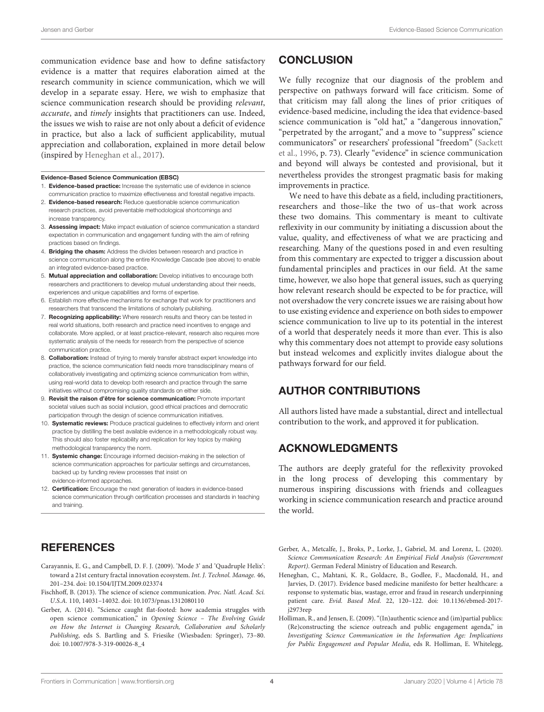communication evidence base and how to define satisfactory evidence is a matter that requires elaboration aimed at the research community in science communication, which we will develop in a separate essay. Here, we wish to emphasize that science communication research should be providing relevant, accurate, and timely insights that practitioners can use. Indeed, the issues we wish to raise are not only about a deficit of evidence in practice, but also a lack of sufficient applicability, mutual appreciation and collaboration, explained in more detail below (inspired by [Heneghan et al., 2017\)](#page-3-5).

#### Evidence-Based Science Communication (EBSC)

- 1. Evidence-based practice: Increase the systematic use of evidence in science communication practice to maximize effectiveness and forestall negative impacts.
- 2. Evidence-based research: Reduce questionable science communication research practices, avoid preventable methodological shortcomings and increase transparency.
- 3. Assessing impact: Make impact evaluation of science communication a standard expectation in communication and engagement funding with the aim of refining practices based on findings.
- 4. **Bridging the chasm:** Address the divides between research and practice in science communication along the entire Knowledge Cascade (see above) to enable an integrated evidence-based practice.
- 5. Mutual appreciation and collaboration: Develop initiatives to encourage both researchers and practitioners to develop mutual understanding about their needs, experiences and unique capabilities and forms of expertise.
- 6. Establish more effective mechanisms for exchange that work for practitioners and researchers that transcend the limitations of scholarly publishing.
- 7. Recognizing applicability: Where research results and theory can be tested in real world situations, both research and practice need incentives to engage and collaborate. More applied, or at least practice-relevant, research also requires more systematic analysis of the needs for research from the perspective of science communication practice.
- 8. **Collaboration:** Instead of trying to merely transfer abstract expert knowledge into practice, the science communication field needs more transdisciplinary means of collaboratively investigating and optimizing science communication from within, using real-world data to develop both research and practice through the same initiatives without compromising quality standards on either side.
- 9. **Revisit the raison d'être for science communication:** Promote important societal values such as social inclusion, good ethical practices and democratic participation through the design of science communication initiatives.
- 10. **Systematic reviews:** Produce practical quidelines to effectively inform and orient practice by distilling the best available evidence in a methodologically robust way. This should also foster replicability and replication for key topics by making methodological transparency the norm.
- 11. Systemic change: Encourage informed decision-making in the selection of science communication approaches for particular settings and circumstances, backed up by funding review processes that insist on evidence-informed approaches.
- 12. Certification: Encourage the next generation of leaders in evidence-based science communication through certification processes and standards in teaching and training.

# **REFERENCES**

- <span id="page-3-0"></span>Carayannis, E. G., and Campbell, D. F. J. (2009). 'Mode 3' and 'Quadruple Helix': toward a 21st century fractal innovation ecosystem. Int. J. Technol. Manage. 46, 201–234. doi: [10.1504/IJTM.2009.023374](https://doi.org/10.1504/IJTM.2009.023374)
- <span id="page-3-2"></span>Fischhoff, B. (2013). The science of science communication. Proc. Natl. Acad. Sci. U.S.A. 110, 14031–14032. doi: [10.1073/pnas.1312080110](https://doi.org/10.1073/pnas.1312080110)
- <span id="page-3-4"></span>Gerber, A. (2014). "Science caught flat-footed: how academia struggles with open science communication," in Opening Science – The Evolving Guide on How the Internet is Changing Research, Collaboration and Scholarly Publishing, eds S. Bartling and S. Friesike (Wiesbaden: Springer), 73–80. doi: [10.1007/978-3-319-00026-8\\_4](https://doi.org/10.1007/978-3-319-00026-8_4)

# **CONCLUSION**

We fully recognize that our diagnosis of the problem and perspective on pathways forward will face criticism. Some of that criticism may fall along the lines of prior critiques of evidence-based medicine, including the idea that evidence-based science communication is "old hat," a "dangerous innovation," "perpetrated by the arrogant," and a move to "suppress" science communicators" or researchers' professional "freedom" (Sackett et al., [1996,](#page-4-3) p. 73). Clearly "evidence" in science communication and beyond will always be contested and provisional, but it nevertheless provides the strongest pragmatic basis for making improvements in practice.

We need to have this debate as a field, including practitioners, researchers and those–like the two of us–that work across these two domains. This commentary is meant to cultivate reflexivity in our community by initiating a discussion about the value, quality, and effectiveness of what we are practicing and researching. Many of the questions posed in and even resulting from this commentary are expected to trigger a discussion about fundamental principles and practices in our field. At the same time, however, we also hope that general issues, such as querying how relevant research should be expected to be for practice, will not overshadow the very concrete issues we are raising about how to use existing evidence and experience on both sides to empower science communication to live up to its potential in the interest of a world that desperately needs it more than ever. This is also why this commentary does not attempt to provide easy solutions but instead welcomes and explicitly invites dialogue about the pathways forward for our field.

## AUTHOR CONTRIBUTIONS

All authors listed have made a substantial, direct and intellectual contribution to the work, and approved it for publication.

### ACKNOWLEDGMENTS

The authors are deeply grateful for the reflexivity provoked in the long process of developing this commentary by numerous inspiring discussions with friends and colleagues working in science communication research and practice around the world.

<span id="page-3-1"></span>Gerber, A., Metcalfe, J., Broks, P., Lorke, J., Gabriel, M. and Lorenz, L. (2020). Science Communication Research: An Empirical Field Analysis (Government Report). German Federal Ministry of Education and Research.

- <span id="page-3-5"></span>Heneghan, C., Mahtani, K. R., Goldacre, B., Godlee, F., Macdonald, H., and Jarvies, D. (2017). Evidence based medicine manifesto for better healthcare: a response to systematic bias, wastage, error and fraud in research underpinning patient care. Evid. Based Med. [22, 120–122. doi: 10.1136/ebmed-2017](https://doi.org/10.1136/ebmed-2017-j2973rep) j2973rep
- <span id="page-3-3"></span>Holliman, R., and Jensen, E. (2009). "(In)authentic science and (im)partial publics: (Re)constructing the science outreach and public engagement agenda," in Investigating Science Communication in the Information Age: Implications for Public Engagement and Popular Media, eds R. Holliman, E. Whitelegg,